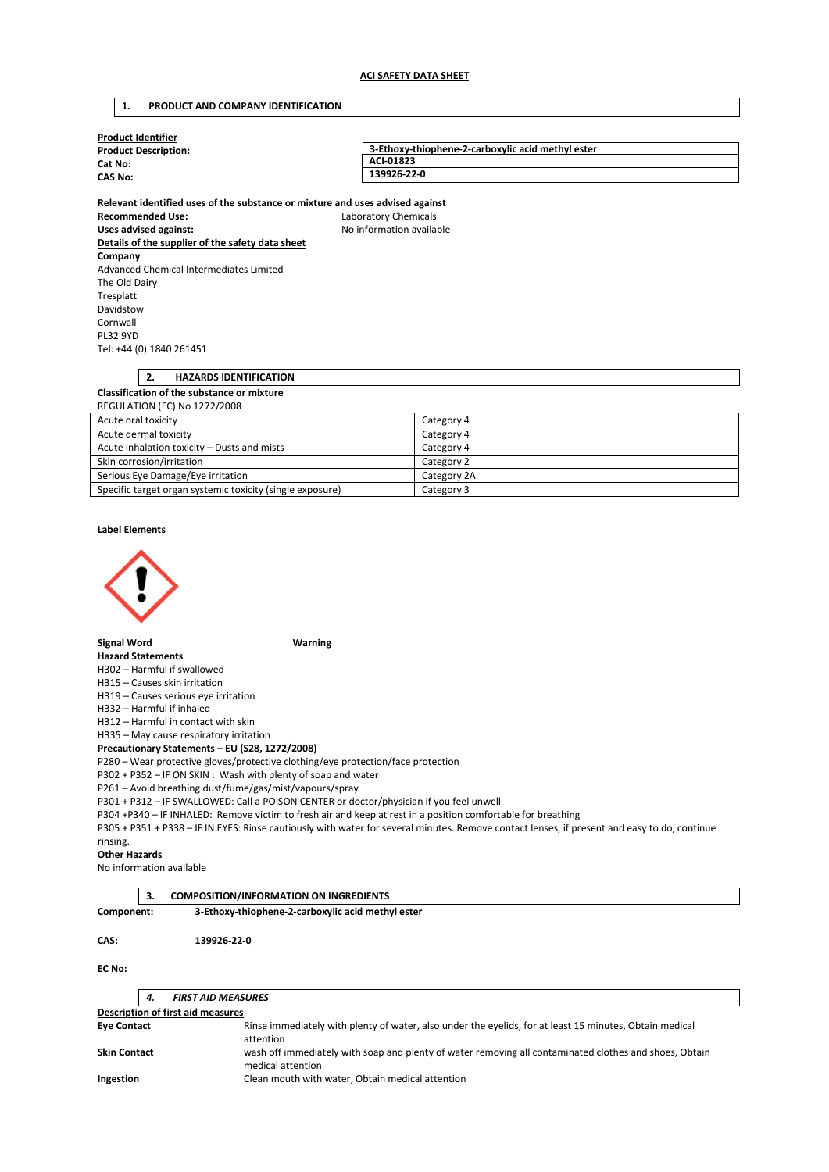# **1. PRODUCT AND COMPANY IDENTIFICATION**

| <b>Product Identifier</b>              |                                                   |  |  |  |
|----------------------------------------|---------------------------------------------------|--|--|--|
| <b>Product Description:</b><br>Cat No: | 3-Ethoxy-thiophene-2-carboxylic acid methyl ester |  |  |  |
|                                        | ACI-01823                                         |  |  |  |
| <b>CAS No:</b>                         | 139926-22-0                                       |  |  |  |
|                                        |                                                   |  |  |  |

**Relevant identified uses of the substance or mixture and uses advised against Recommended Use:** Laboratory Chemicals Uses advised against: Moleco and Moleco available **Details of the supplier of the safety data sheet Company**  Advanced Chemical Intermediates Limited The Old Dairy Tresplatt Davidstow Cornwall PL32 9YD Tel: +44 (0) 1840 261451

# **2. HAZARDS IDENTIFICATION Classification of the substance or mixture**  REGULATION (EC) No 1272/2008 Acute oral toxicity and the category 4

| Acute dermal toxicity                                     | Category 4  |
|-----------------------------------------------------------|-------------|
| Acute Inhalation toxicity - Dusts and mists               | Category 4  |
| Skin corrosion/irritation                                 | Category 2  |
| Serious Eye Damage/Eye irritation                         | Category 2A |
| Specific target organ systemic toxicity (single exposure) | Category 3  |

**Label Elements** 



**Signal Word Warning** 

**Hazard Statements** 

H302 – Harmful if swallowed

H315 – Causes skin irritation

H319 – Causes serious eye irritation

H332 – Harmful if inhaled

H312 – Harmful in contact with skin

H335 – May cause respiratory irritation

**Precautionary Statements – EU (S28, 1272/2008)** 

P280 – Wear protective gloves/protective clothing/eye protection/face protection

P302 + P352 – IF ON SKIN : Wash with plenty of soap and water

P261 – Avoid breathing dust/fume/gas/mist/vapours/spray

P301 + P312 – IF SWALLOWED: Call a POISON CENTER or doctor/physician if you feel unwell

P304 +P340 – IF INHALED: Remove victim to fresh air and keep at rest in a position comfortable for breathing

P305 + P351 + P338 – IF IN EYES: Rinse cautiously with water for several minutes. Remove contact lenses, if present and easy to do, continue rinsing.

**Other Hazards** 

No information available

**3. COMPOSITION/INFORMATION ON INGREDIENTS Component: 3-Ethoxy-thiophene-2-carboxylic acid methyl ester CAS: 139926-22-0** 

**EC No:** 

|                                   | 4. | <b>FIRST AID MEASURES</b>                                                                                                   |  |  |
|-----------------------------------|----|-----------------------------------------------------------------------------------------------------------------------------|--|--|
| Description of first aid measures |    |                                                                                                                             |  |  |
| <b>Eye Contact</b>                |    | Rinse immediately with plenty of water, also under the eyelids, for at least 15 minutes, Obtain medical<br>attention        |  |  |
| <b>Skin Contact</b>               |    | wash off immediately with soap and plenty of water removing all contaminated clothes and shoes, Obtain<br>medical attention |  |  |
| Ingestion                         |    | Clean mouth with water, Obtain medical attention                                                                            |  |  |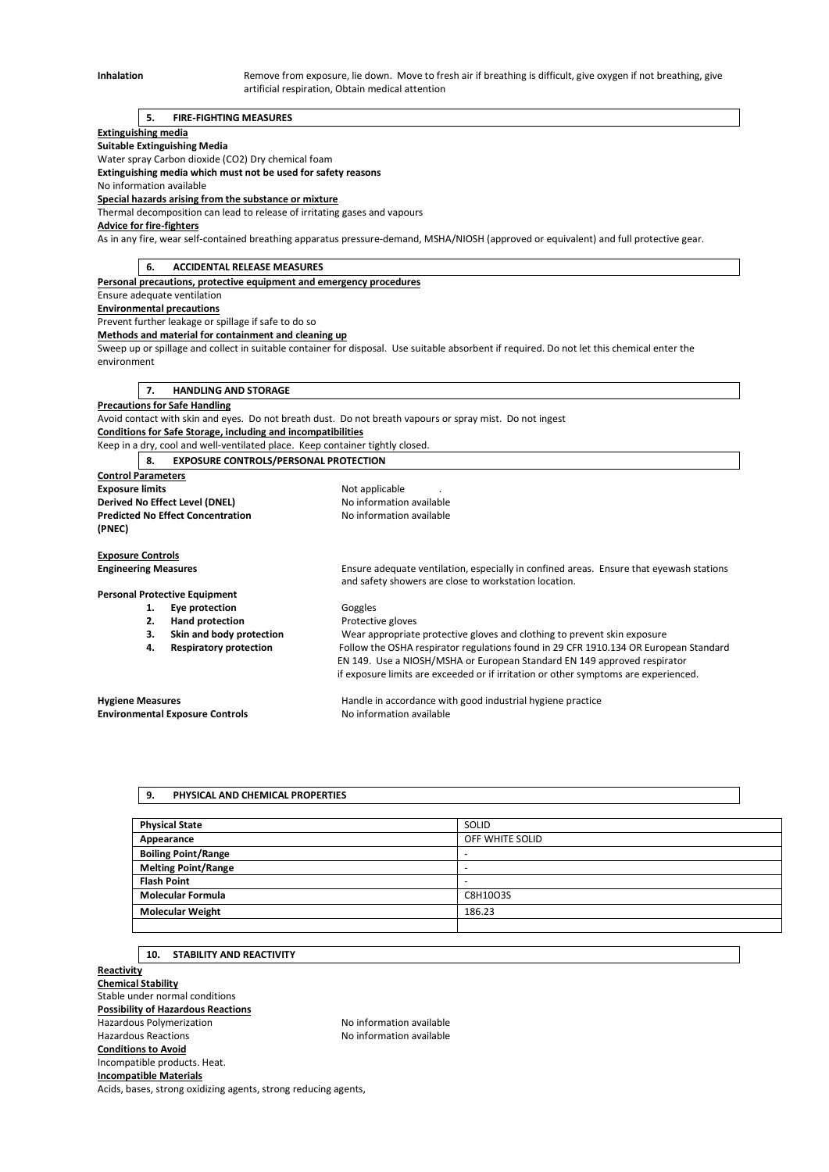Inhalation **Remove from exposure, lie down.** Move to fresh air if breathing is difficult, give oxygen if not breathing, give artificial respiration, Obtain medical attention

#### **5. FIRE-FIGHTING MEASURES**

#### **Extinguishing media**

**Suitable Extinguishing Media** 

Water spray Carbon dioxide (CO2) Dry chemical foam

**Extinguishing media which must not be used for safety reasons** 

No information available **Special hazards arising from the substance or mixture** 

Thermal decomposition can lead to release of irritating gases and vapours

**Advice for fire-fighters** 

As in any fire, wear self-contained breathing apparatus pressure-demand, MSHA/NIOSH (approved or equivalent) and full protective gear.

**6. ACCIDENTAL RELEASE MEASURES** 

**Personal precautions, protective equipment and emergency procedures** 

Ensure adequate ventilation

## **Environmental precautions**

Prevent further leakage or spillage if safe to do so

**Methods and material for containment and cleaning up** 

Sweep up or spillage and collect in suitable container for disposal. Use suitable absorbent if required. Do not let this chemical enter the environment

**7. HANDLING AND STORAGE** 

# **Precautions for Safe Handling**

Avoid contact with skin and eyes. Do not breath dust. Do not breath vapours or spray mist. Do not ingest **Conditions for Safe Storage, including and incompatibilities** 

Keep in a dry, cool and well-ventilated place. Keep container tightly closed.

**8. EXPOSURE CONTROLS/PERSONAL PROTECTION** 

**Control Parameters Exposure limits Exposure limits Not applicable** . **Derived No Effect Level (DNEL)** No information available **Predicted No Effect Concentration** No information available **(PNEC)** 

**Exposure Controls Engineering Measures** Ensure adequate ventilation, especially in confined areas. Ensure that eyewash stations

# **Personal Protective Equipment**

1. **Eye protection Goggles** 

**2. Hand protection Protective gloves**<br> **3. Skin and body protection Wear appropriate 3. Skin and body protection** Wear appropriate protective gloves and clothing to prevent skin exposure

**4. Respiratory protection** Follow the OSHA respirator regulations found in 29 CFR 1910.134 OR European Standard EN 149. Use a NIOSH/MSHA or European Standard EN 149 approved respirator if exposure limits are exceeded or if irritation or other symptoms are experienced.

**Environmental Exposure Controls No information available** 

**Hygiene Measures** Handle in accordance with good industrial hygiene practice

and safety showers are close to workstation location.

#### **9. PHYSICAL AND CHEMICAL PROPERTIES**

| <b>Physical State</b>      | SOLID           |
|----------------------------|-----------------|
| Appearance                 | OFF WHITE SOLID |
| <b>Boiling Point/Range</b> | -               |
| <b>Melting Point/Range</b> | -               |
| <b>Flash Point</b>         | -               |
| <b>Molecular Formula</b>   | C8H10O3S        |
| <b>Molecular Weight</b>    | 186.23          |
|                            |                 |

#### **10. STABILITY AND REACTIVITY**

**Reactivity Chemical Stability**  Stable under normal conditions **Possibility of Hazardous Reactions**  Hazardous Polymerization **No information available** Hazardous Reactions No information available **Conditions to Avoid**  Incompatible products. Heat. **Incompatible Materials**  Acids, bases, strong oxidizing agents, strong reducing agents,